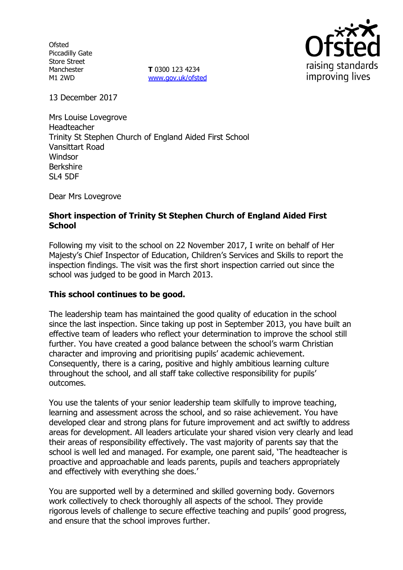**Ofsted** Piccadilly Gate Store Street Manchester M1 2WD

**T** 0300 123 4234 [www.gov.uk/ofsted](http://www.gov.uk/ofsted)



13 December 2017

Mrs Louise Lovegrove Headteacher Trinity St Stephen Church of England Aided First School Vansittart Road **Windsor** Berkshire SL4 5DF

Dear Mrs Lovegrove

# **Short inspection of Trinity St Stephen Church of England Aided First School**

Following my visit to the school on 22 November 2017, I write on behalf of Her Majesty's Chief Inspector of Education, Children's Services and Skills to report the inspection findings. The visit was the first short inspection carried out since the school was judged to be good in March 2013.

## **This school continues to be good.**

The leadership team has maintained the good quality of education in the school since the last inspection. Since taking up post in September 2013, you have built an effective team of leaders who reflect your determination to improve the school still further. You have created a good balance between the school's warm Christian character and improving and prioritising pupils' academic achievement. Consequently, there is a caring, positive and highly ambitious learning culture throughout the school, and all staff take collective responsibility for pupils' outcomes.

You use the talents of your senior leadership team skilfully to improve teaching, learning and assessment across the school, and so raise achievement. You have developed clear and strong plans for future improvement and act swiftly to address areas for development. All leaders articulate your shared vision very clearly and lead their areas of responsibility effectively. The vast majority of parents say that the school is well led and managed. For example, one parent said, 'The headteacher is proactive and approachable and leads parents, pupils and teachers appropriately and effectively with everything she does.'

You are supported well by a determined and skilled governing body. Governors work collectively to check thoroughly all aspects of the school. They provide rigorous levels of challenge to secure effective teaching and pupils' good progress, and ensure that the school improves further.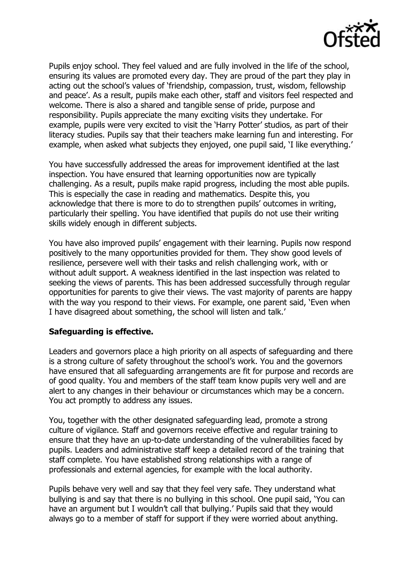

Pupils enjoy school. They feel valued and are fully involved in the life of the school, ensuring its values are promoted every day. They are proud of the part they play in acting out the school's values of 'friendship, compassion, trust, wisdom, fellowship and peace'. As a result, pupils make each other, staff and visitors feel respected and welcome. There is also a shared and tangible sense of pride, purpose and responsibility. Pupils appreciate the many exciting visits they undertake. For example, pupils were very excited to visit the 'Harry Potter' studios, as part of their literacy studies. Pupils say that their teachers make learning fun and interesting. For example, when asked what subjects they enjoyed, one pupil said, 'I like everything.'

You have successfully addressed the areas for improvement identified at the last inspection. You have ensured that learning opportunities now are typically challenging. As a result, pupils make rapid progress, including the most able pupils. This is especially the case in reading and mathematics. Despite this, you acknowledge that there is more to do to strengthen pupils' outcomes in writing, particularly their spelling. You have identified that pupils do not use their writing skills widely enough in different subjects.

You have also improved pupils' engagement with their learning. Pupils now respond positively to the many opportunities provided for them. They show good levels of resilience, persevere well with their tasks and relish challenging work, with or without adult support. A weakness identified in the last inspection was related to seeking the views of parents. This has been addressed successfully through regular opportunities for parents to give their views. The vast majority of parents are happy with the way you respond to their views. For example, one parent said, 'Even when I have disagreed about something, the school will listen and talk.'

## **Safeguarding is effective.**

Leaders and governors place a high priority on all aspects of safeguarding and there is a strong culture of safety throughout the school's work. You and the governors have ensured that all safeguarding arrangements are fit for purpose and records are of good quality. You and members of the staff team know pupils very well and are alert to any changes in their behaviour or circumstances which may be a concern. You act promptly to address any issues.

You, together with the other designated safeguarding lead, promote a strong culture of vigilance. Staff and governors receive effective and regular training to ensure that they have an up-to-date understanding of the vulnerabilities faced by pupils. Leaders and administrative staff keep a detailed record of the training that staff complete. You have established strong relationships with a range of professionals and external agencies, for example with the local authority.

Pupils behave very well and say that they feel very safe. They understand what bullying is and say that there is no bullying in this school. One pupil said, 'You can have an argument but I wouldn't call that bullying.' Pupils said that they would always go to a member of staff for support if they were worried about anything.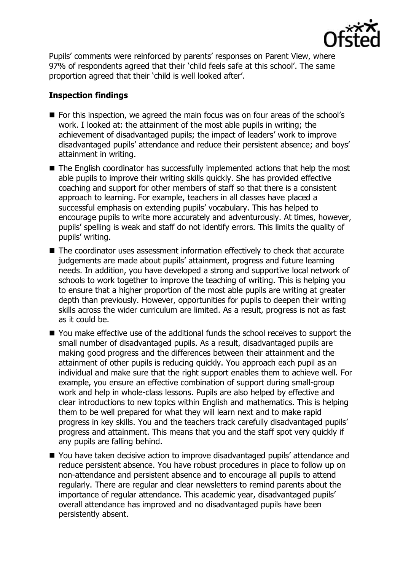

Pupils' comments were reinforced by parents' responses on Parent View, where 97% of respondents agreed that their 'child feels safe at this school'. The same proportion agreed that their 'child is well looked after'.

# **Inspection findings**

- For this inspection, we agreed the main focus was on four areas of the school's work. I looked at: the attainment of the most able pupils in writing; the achievement of disadvantaged pupils; the impact of leaders' work to improve disadvantaged pupils' attendance and reduce their persistent absence; and boys' attainment in writing.
- The English coordinator has successfully implemented actions that help the most able pupils to improve their writing skills quickly. She has provided effective coaching and support for other members of staff so that there is a consistent approach to learning. For example, teachers in all classes have placed a successful emphasis on extending pupils' vocabulary. This has helped to encourage pupils to write more accurately and adventurously. At times, however, pupils' spelling is weak and staff do not identify errors. This limits the quality of pupils' writing.
- The coordinator uses assessment information effectively to check that accurate judgements are made about pupils' attainment, progress and future learning needs. In addition, you have developed a strong and supportive local network of schools to work together to improve the teaching of writing. This is helping you to ensure that a higher proportion of the most able pupils are writing at greater depth than previously. However, opportunities for pupils to deepen their writing skills across the wider curriculum are limited. As a result, progress is not as fast as it could be.
- You make effective use of the additional funds the school receives to support the small number of disadvantaged pupils. As a result, disadvantaged pupils are making good progress and the differences between their attainment and the attainment of other pupils is reducing quickly. You approach each pupil as an individual and make sure that the right support enables them to achieve well. For example, you ensure an effective combination of support during small-group work and help in whole-class lessons. Pupils are also helped by effective and clear introductions to new topics within English and mathematics. This is helping them to be well prepared for what they will learn next and to make rapid progress in key skills. You and the teachers track carefully disadvantaged pupils' progress and attainment. This means that you and the staff spot very quickly if any pupils are falling behind.
- You have taken decisive action to improve disadvantaged pupils' attendance and reduce persistent absence. You have robust procedures in place to follow up on non-attendance and persistent absence and to encourage all pupils to attend regularly. There are regular and clear newsletters to remind parents about the importance of regular attendance. This academic year, disadvantaged pupils' overall attendance has improved and no disadvantaged pupils have been persistently absent.